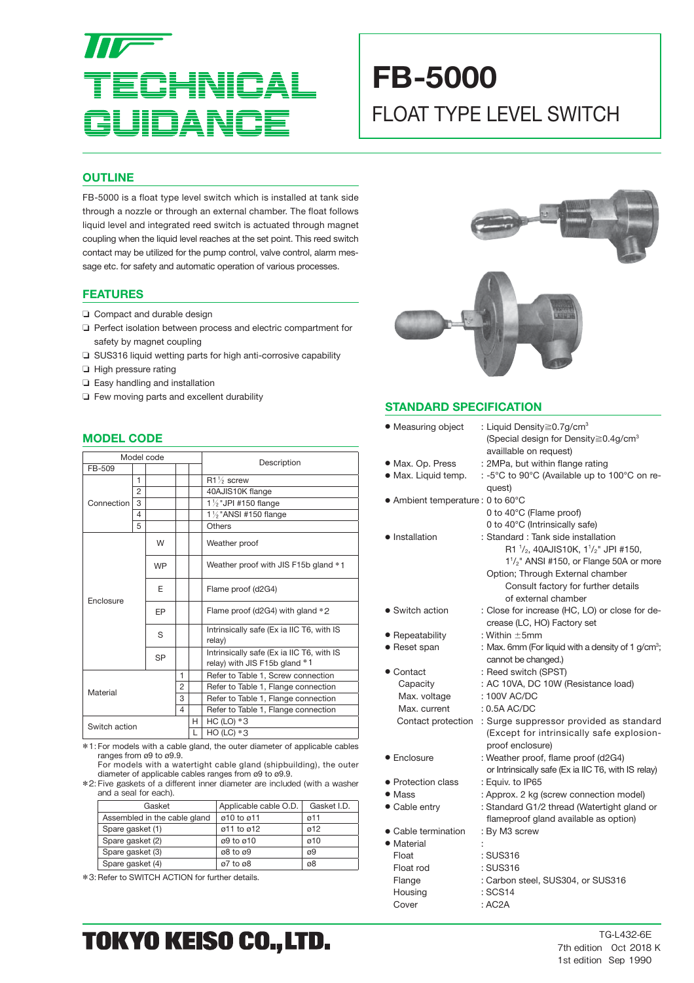# **CAL** UIDANO

## **FB-5000** FLOAT TYPE LEVEL SWITCH

#### **OUTLINE**

FB-5000 is a float type level switch which is installed at tank side through a nozzle or through an external chamber. The float follows liquid level and integrated reed switch is actuated through magnet coupling when the liquid level reaches at the set point. This reed switch contact may be utilized for the pump control, valve control, alarm message etc. for safety and automatic operation of various processes.

#### **FEATURES**

- ❏ Compact and durable design
- ❏ Perfect isolation between process and electric compartment for safety by magnet coupling
- ❏ SUS316 liquid wetting parts for high anti-corrosive capability
- ❏ High pressure rating
- ❏ Easy handling and installation
- ❏ Few moving parts and excellent durability

#### **MODEL CODE**

| Model code    |                |                          |  |        |                                                                            |  |
|---------------|----------------|--------------------------|--|--------|----------------------------------------------------------------------------|--|
| FB-509        |                |                          |  |        | Description                                                                |  |
|               | 1              |                          |  |        | $R1\%$ screw                                                               |  |
|               | $\overline{2}$ |                          |  |        | 40AJIS10K flange                                                           |  |
| Connection    | 3              |                          |  |        | 1 % "JPI #150 flange                                                       |  |
|               | 4              |                          |  |        | $1\frac{1}{2}$ "ANSI #150 flange                                           |  |
|               | 5              |                          |  | Others |                                                                            |  |
|               |                | W                        |  |        | Weather proof                                                              |  |
|               |                | <b>WP</b>                |  |        | Weather proof with JIS F15b gland *1                                       |  |
|               |                | F                        |  |        | Flame proof (d2G4)                                                         |  |
| Enclosure     |                | <b>FP</b>                |  |        | Flame proof (d2G4) with gland *2                                           |  |
|               |                | S                        |  |        | Intrinsically safe (Ex ia IIC T6, with IS<br>relay)                        |  |
|               |                | <b>SP</b>                |  |        | Intrinsically safe (Ex ia IIC T6, with IS<br>relay) with JIS F15b gland *1 |  |
| Material      |                | 1<br>$\overline{2}$<br>3 |  |        | Refer to Table 1, Screw connection                                         |  |
|               |                |                          |  |        | Refer to Table 1, Flange connection                                        |  |
|               |                |                          |  |        | Refer to Table 1, Flange connection                                        |  |
|               |                | 4                        |  |        | Refer to Table 1, Flange connection                                        |  |
| Switch action |                |                          |  | Н.     | HC (LO) $*3$                                                               |  |
|               |                |                          |  | L      | $HO$ (LC) $*3$                                                             |  |

\*1: For models with a cable gland, the outer diameter of applicable cables ranges from ø9 to ø9.9.

 For models with a watertight cable gland (shipbuilding), the outer diameter of applicable cables ranges from ø9 to ø9.9.

\*2: Five gaskets of a diff erent inner diameter are included (with a washer and a seal for each).

| Gasket                       | Applicable cable O.D.                | Gasket I.D. |  |
|------------------------------|--------------------------------------|-------------|--|
| Assembled in the cable gland | ø10 to ø11                           | 011         |  |
| Spare gasket (1)             | $\varnothing$ 11 to $\varnothing$ 12 | 012         |  |
| Spare gasket (2)             | ø9 to ø10                            | ø10         |  |
| Spare gasket (3)             | ø8 to ø9                             | ø9          |  |
| Spare gasket (4)             | ø7 to ø8                             | ø8          |  |

\*3: Refer to SWITCH ACTION for further details.



#### **STANDARD SPECIFICATION**

| • Measuring object                | : Liquid Density $\geq$ 0.7g/cm <sup>3</sup><br>(Special design for Density≧0.4g/cm <sup>3</sup><br>availlable on request) |
|-----------------------------------|----------------------------------------------------------------------------------------------------------------------------|
| • Max. Op. Press                  | : 2MPa, but within flange rating                                                                                           |
| · Max. Liquid temp.               | : -5°C to 90°C (Available up to 100°C on re-                                                                               |
|                                   | quest)                                                                                                                     |
| • Ambient temperature : 0 to 60°C |                                                                                                                            |
|                                   | 0 to 40°C (Flame proof)                                                                                                    |
|                                   | 0 to 40°C (Intrinsically safe)                                                                                             |
| • Installation                    | : Standard : Tank side installation                                                                                        |
|                                   | R1 $\frac{1}{2}$ , 40AJIS10K, 1 $\frac{1}{2}$ " JPI #150,                                                                  |
|                                   | $1\frac{1}{2}$ " ANSI #150, or Flange 50A or more                                                                          |
|                                   | Option; Through External chamber                                                                                           |
|                                   | Consult factory for further details                                                                                        |
|                                   | of external chamber                                                                                                        |
| • Switch action                   | : Close for increase (HC, LO) or close for de-                                                                             |
|                                   | crease (LC, HO) Factory set                                                                                                |
| • Repeatability                   | : Within $\pm 5$ mm                                                                                                        |
| • Reset span                      | : Max. 6mm (For liquid with a density of 1 g/cm <sup>3</sup> ;                                                             |
|                                   | cannot be changed.)                                                                                                        |
| • Contact                         | : Reed switch (SPST)                                                                                                       |
| Capacity                          | : AC 10VA, DC 10W (Resistance load)                                                                                        |
| Max. voltage                      | : 100V AC/DC                                                                                                               |
| Max. current                      | $: 0.5A$ AC/DC                                                                                                             |
| Contact protection                | : Surge suppressor provided as standard                                                                                    |
|                                   | (Except for intrinsically safe explosion-                                                                                  |
|                                   | proof enclosure)                                                                                                           |
| • Enclosure                       | : Weather proof, flame proof (d2G4)                                                                                        |
|                                   | or Intrinsically safe (Ex ia IIC T6, with IS relay)                                                                        |
| • Protection class                | : Equiv. to IP65                                                                                                           |
| • Mass                            | : Approx. 2 kg (screw connection model)                                                                                    |
| • Cable entry                     | : Standard G1/2 thread (Watertight gland or                                                                                |
|                                   | flameproof gland available as option)                                                                                      |
| • Cable termination               | : By M3 screw                                                                                                              |
| • Material                        |                                                                                                                            |
| Float                             | : SUS316                                                                                                                   |
| Float rod                         | : SUS316                                                                                                                   |
| Flange                            | : Carbon steel, SUS304, or SUS316                                                                                          |
| Housing                           | : SCS14                                                                                                                    |
| Cover                             | : AC2A                                                                                                                     |

### TOKYO KEISO CO., LTD.

TG-L432-6E 7th edition Oct 2018 K 1st edition Sep 1990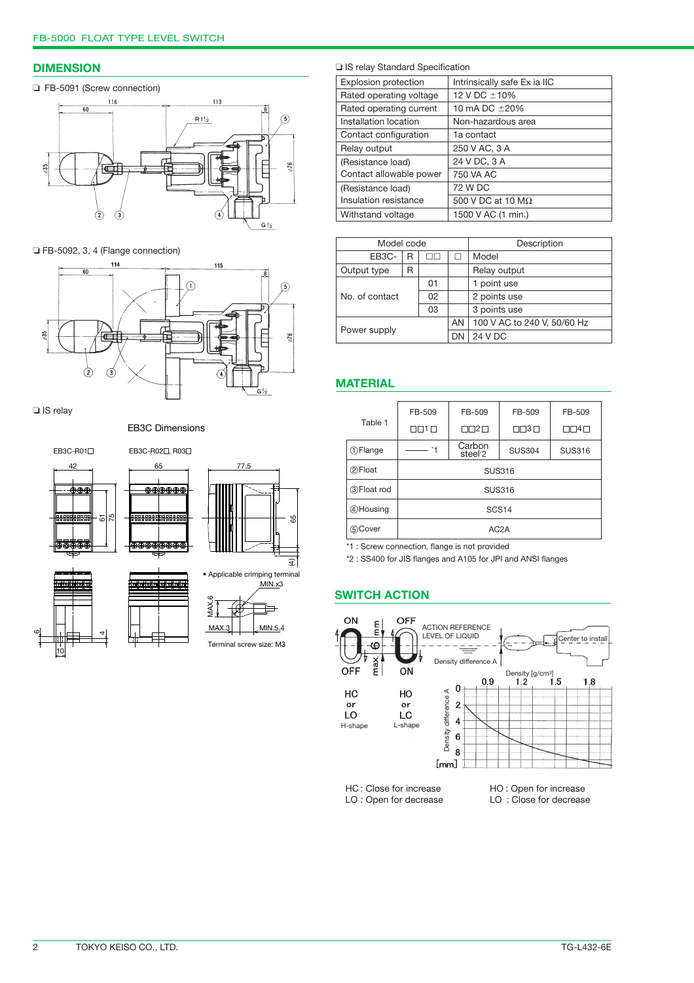#### **DIMENSION**

#### ❏ FB-5091 (Screw connection)



❏ FB-5092, 3, 4 (Flange connection)



❏ IS relay

EB3C Dimensions







❏ IS relay Standard Specification

| <b>Explosion protection</b> | Intrinsically safe Ex ia IIC |  |  |
|-----------------------------|------------------------------|--|--|
| Rated operating voltage     | 12 V DC ±10%                 |  |  |
| Rated operating current     | 10 mA DC $\pm 20\%$          |  |  |
| Installation location       | Non-hazardous area           |  |  |
| Contact configuration       | 1a contact                   |  |  |
| Relay output                | 250 V AC, 3 A                |  |  |
| (Resistance load)           | 24 V DC, 3 A                 |  |  |
| Contact allowable power     | 750 VA AC                    |  |  |
| (Resistance load)           | 72 W DC                      |  |  |
| Insulation resistance       | 500 V DC at 10 M $\Omega$    |  |  |
| Withstand voltage           | 1500 V AC (1 min.)           |  |  |

|                    | Model code |    |    | Description                 |
|--------------------|------------|----|----|-----------------------------|
| EB <sub>3</sub> C- | R          | ПП |    | Model                       |
| Output type        | R          |    |    | Relay output                |
|                    | 01         |    |    | 1 point use                 |
| No. of contact     |            | 02 |    | 2 points use                |
|                    |            | 03 |    | 3 points use                |
|                    |            |    | AN | 100 V AC to 240 V, 50/60 Hz |
| Power supply       |            |    | DN | 24 V DC                     |

#### **MATERIAL**

|                              | FB-509               | FB-509                        | FB-509                 | FB-509           |  |  |
|------------------------------|----------------------|-------------------------------|------------------------|------------------|--|--|
| Table 1                      | $\Box \Box$ 1 $\Box$ | ⊓ 2⊓                          | $\Box$ $\Box$ 3 $\Box$ | $\Box\Box 4\Box$ |  |  |
| <b><i><u>DFlange</u></i></b> |                      | Carbon<br>steel <sup>*2</sup> | <b>SUS304</b>          | <b>SUS316</b>    |  |  |
| 2 Float                      | <b>SUS316</b>        |                               |                        |                  |  |  |
| <b>3</b> Float rod           | <b>SUS316</b>        |                               |                        |                  |  |  |
| 4 Housing                    | SCS <sub>14</sub>    |                               |                        |                  |  |  |
| 5 Cover                      | AC <sub>2</sub> A    |                               |                        |                  |  |  |
|                              |                      |                               |                        |                  |  |  |

\*1 : Screw connection, flange is not provided

\*2 : SS400 for JIS flanges and A105 for JPI and ANSI flanges

#### **SWITCH ACTION**



LO : Open for decrease